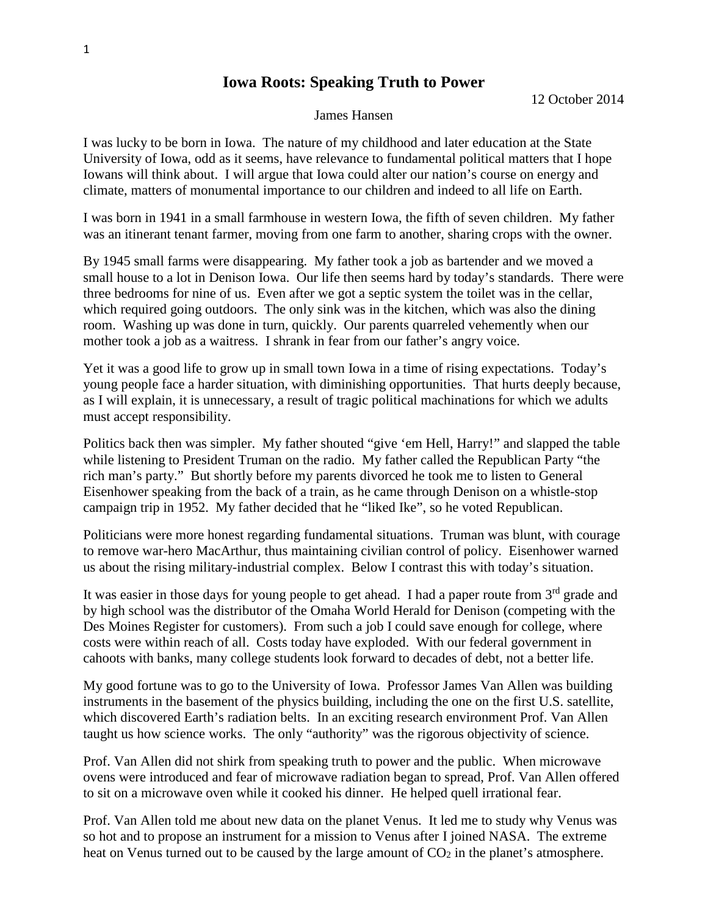## **Iowa Roots: Speaking Truth to Power**

12 October 2014

## James Hansen

I was lucky to be born in Iowa. The nature of my childhood and later education at the State University of Iowa, odd as it seems, have relevance to fundamental political matters that I hope Iowans will think about. I will argue that Iowa could alter our nation's course on energy and climate, matters of monumental importance to our children and indeed to all life on Earth.

I was born in 1941 in a small farmhouse in western Iowa, the fifth of seven children. My father was an itinerant tenant farmer, moving from one farm to another, sharing crops with the owner.

By 1945 small farms were disappearing. My father took a job as bartender and we moved a small house to a lot in Denison Iowa. Our life then seems hard by today's standards. There were three bedrooms for nine of us. Even after we got a septic system the toilet was in the cellar, which required going outdoors. The only sink was in the kitchen, which was also the dining room. Washing up was done in turn, quickly. Our parents quarreled vehemently when our mother took a job as a waitress. I shrank in fear from our father's angry voice.

Yet it was a good life to grow up in small town Iowa in a time of rising expectations. Today's young people face a harder situation, with diminishing opportunities. That hurts deeply because, as I will explain, it is unnecessary, a result of tragic political machinations for which we adults must accept responsibility.

Politics back then was simpler. My father shouted "give 'em Hell, Harry!" and slapped the table while listening to President Truman on the radio. My father called the Republican Party "the rich man's party." But shortly before my parents divorced he took me to listen to General Eisenhower speaking from the back of a train, as he came through Denison on a whistle-stop campaign trip in 1952. My father decided that he "liked Ike", so he voted Republican.

Politicians were more honest regarding fundamental situations. Truman was blunt, with courage to remove war-hero MacArthur, thus maintaining civilian control of policy. Eisenhower warned us about the rising military-industrial complex. Below I contrast this with today's situation.

It was easier in those days for young people to get ahead. I had a paper route from 3<sup>rd</sup> grade and by high school was the distributor of the Omaha World Herald for Denison (competing with the Des Moines Register for customers). From such a job I could save enough for college, where costs were within reach of all. Costs today have exploded. With our federal government in cahoots with banks, many college students look forward to decades of debt, not a better life.

My good fortune was to go to the University of Iowa. Professor James Van Allen was building instruments in the basement of the physics building, including the one on the first U.S. satellite, which discovered Earth's radiation belts. In an exciting research environment Prof. Van Allen taught us how science works. The only "authority" was the rigorous objectivity of science.

Prof. Van Allen did not shirk from speaking truth to power and the public. When microwave ovens were introduced and fear of microwave radiation began to spread, Prof. Van Allen offered to sit on a microwave oven while it cooked his dinner. He helped quell irrational fear.

Prof. Van Allen told me about new data on the planet Venus. It led me to study why Venus was so hot and to propose an instrument for a mission to Venus after I joined NASA. The extreme heat on Venus turned out to be caused by the large amount of  $CO<sub>2</sub>$  in the planet's atmosphere.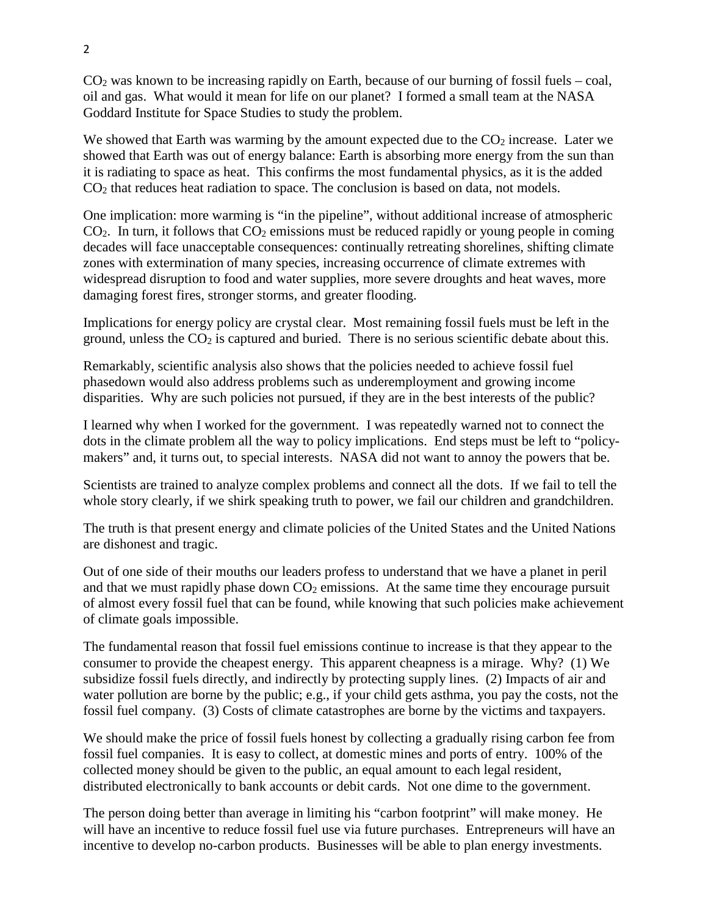$CO<sub>2</sub>$  was known to be increasing rapidly on Earth, because of our burning of fossil fuels – coal, oil and gas. What would it mean for life on our planet? I formed a small team at the NASA Goddard Institute for Space Studies to study the problem.

We showed that Earth was warming by the amount expected due to the  $CO<sub>2</sub>$  increase. Later we showed that Earth was out of energy balance: Earth is absorbing more energy from the sun than it is radiating to space as heat. This confirms the most fundamental physics, as it is the added  $CO<sub>2</sub>$  that reduces heat radiation to space. The conclusion is based on data, not models.

One implication: more warming is "in the pipeline", without additional increase of atmospheric  $CO<sub>2</sub>$ . In turn, it follows that  $CO<sub>2</sub>$  emissions must be reduced rapidly or young people in coming decades will face unacceptable consequences: continually retreating shorelines, shifting climate zones with extermination of many species, increasing occurrence of climate extremes with widespread disruption to food and water supplies, more severe droughts and heat waves, more damaging forest fires, stronger storms, and greater flooding.

Implications for energy policy are crystal clear. Most remaining fossil fuels must be left in the ground, unless the  $CO<sub>2</sub>$  is captured and buried. There is no serious scientific debate about this.

Remarkably, scientific analysis also shows that the policies needed to achieve fossil fuel phasedown would also address problems such as underemployment and growing income disparities. Why are such policies not pursued, if they are in the best interests of the public?

I learned why when I worked for the government. I was repeatedly warned not to connect the dots in the climate problem all the way to policy implications. End steps must be left to "policymakers" and, it turns out, to special interests. NASA did not want to annoy the powers that be.

Scientists are trained to analyze complex problems and connect all the dots. If we fail to tell the whole story clearly, if we shirk speaking truth to power, we fail our children and grandchildren.

The truth is that present energy and climate policies of the United States and the United Nations are dishonest and tragic.

Out of one side of their mouths our leaders profess to understand that we have a planet in peril and that we must rapidly phase down  $CO<sub>2</sub>$  emissions. At the same time they encourage pursuit of almost every fossil fuel that can be found, while knowing that such policies make achievement of climate goals impossible.

The fundamental reason that fossil fuel emissions continue to increase is that they appear to the consumer to provide the cheapest energy. This apparent cheapness is a mirage. Why? (1) We subsidize fossil fuels directly, and indirectly by protecting supply lines. (2) Impacts of air and water pollution are borne by the public; e.g., if your child gets asthma, you pay the costs, not the fossil fuel company. (3) Costs of climate catastrophes are borne by the victims and taxpayers.

We should make the price of fossil fuels honest by collecting a gradually rising carbon fee from fossil fuel companies. It is easy to collect, at domestic mines and ports of entry. 100% of the collected money should be given to the public, an equal amount to each legal resident, distributed electronically to bank accounts or debit cards. Not one dime to the government.

The person doing better than average in limiting his "carbon footprint" will make money. He will have an incentive to reduce fossil fuel use via future purchases. Entrepreneurs will have an incentive to develop no-carbon products. Businesses will be able to plan energy investments.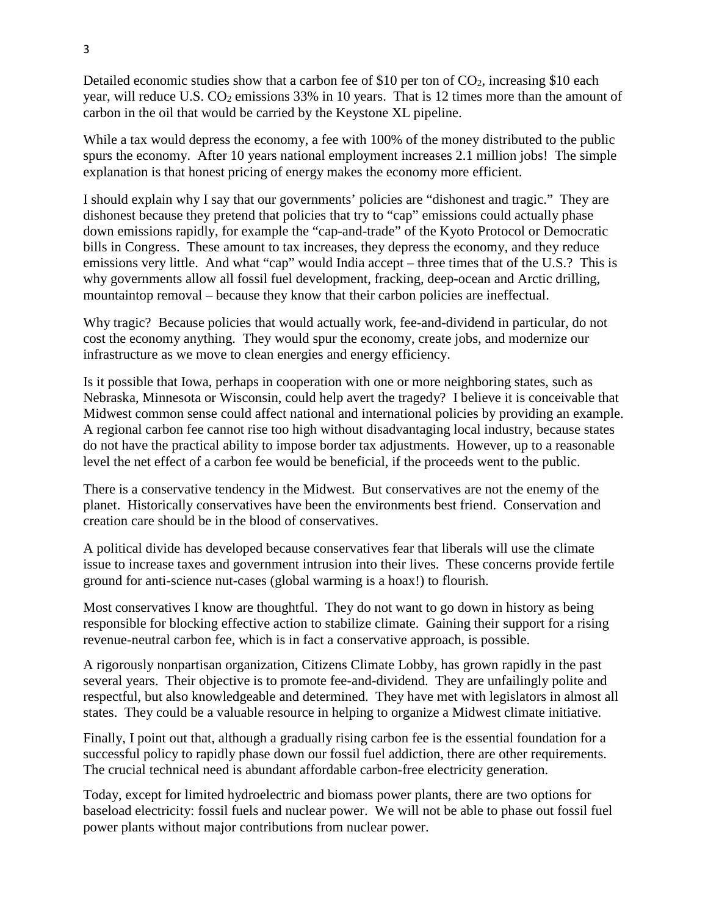Detailed economic studies show that a carbon fee of \$10 per ton of  $CO<sub>2</sub>$ , increasing \$10 each year, will reduce U.S.  $CO<sub>2</sub>$  emissions 33% in 10 years. That is 12 times more than the amount of carbon in the oil that would be carried by the Keystone XL pipeline.

While a tax would depress the economy, a fee with 100% of the money distributed to the public spurs the economy. After 10 years national employment increases 2.1 million jobs! The simple explanation is that honest pricing of energy makes the economy more efficient.

I should explain why I say that our governments' policies are "dishonest and tragic." They are dishonest because they pretend that policies that try to "cap" emissions could actually phase down emissions rapidly, for example the "cap-and-trade" of the Kyoto Protocol or Democratic bills in Congress. These amount to tax increases, they depress the economy, and they reduce emissions very little. And what "cap" would India accept – three times that of the U.S.? This is why governments allow all fossil fuel development, fracking, deep-ocean and Arctic drilling, mountaintop removal – because they know that their carbon policies are ineffectual.

Why tragic? Because policies that would actually work, fee-and-dividend in particular, do not cost the economy anything. They would spur the economy, create jobs, and modernize our infrastructure as we move to clean energies and energy efficiency.

Is it possible that Iowa, perhaps in cooperation with one or more neighboring states, such as Nebraska, Minnesota or Wisconsin, could help avert the tragedy? I believe it is conceivable that Midwest common sense could affect national and international policies by providing an example. A regional carbon fee cannot rise too high without disadvantaging local industry, because states do not have the practical ability to impose border tax adjustments. However, up to a reasonable level the net effect of a carbon fee would be beneficial, if the proceeds went to the public.

There is a conservative tendency in the Midwest. But conservatives are not the enemy of the planet. Historically conservatives have been the environments best friend. Conservation and creation care should be in the blood of conservatives.

A political divide has developed because conservatives fear that liberals will use the climate issue to increase taxes and government intrusion into their lives. These concerns provide fertile ground for anti-science nut-cases (global warming is a hoax!) to flourish.

Most conservatives I know are thoughtful. They do not want to go down in history as being responsible for blocking effective action to stabilize climate. Gaining their support for a rising revenue-neutral carbon fee, which is in fact a conservative approach, is possible.

A rigorously nonpartisan organization, Citizens Climate Lobby, has grown rapidly in the past several years. Their objective is to promote fee-and-dividend. They are unfailingly polite and respectful, but also knowledgeable and determined. They have met with legislators in almost all states. They could be a valuable resource in helping to organize a Midwest climate initiative.

Finally, I point out that, although a gradually rising carbon fee is the essential foundation for a successful policy to rapidly phase down our fossil fuel addiction, there are other requirements. The crucial technical need is abundant affordable carbon-free electricity generation.

Today, except for limited hydroelectric and biomass power plants, there are two options for baseload electricity: fossil fuels and nuclear power. We will not be able to phase out fossil fuel power plants without major contributions from nuclear power.